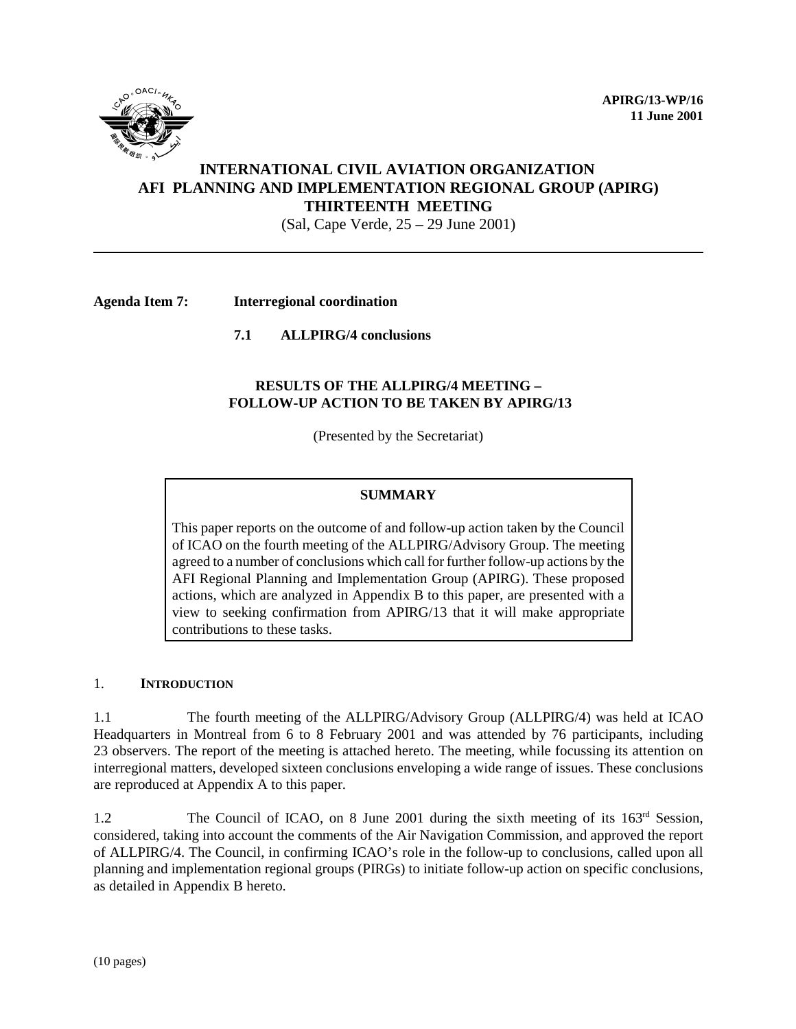**APIRG/13-WP/16 11 June 2001**



# **INTERNATIONAL CIVIL AVIATION ORGANIZATION AFI PLANNING AND IMPLEMENTATION REGIONAL GROUP (APIRG) THIRTEENTH MEETING**

(Sal, Cape Verde, 25 – 29 June 2001)

## **Agenda Item 7: Interregional coordination**

**7.1 ALLPIRG/4 conclusions**

## **RESULTS OF THE ALLPIRG/4 MEETING – FOLLOW-UP ACTION TO BE TAKEN BY APIRG/13**

(Presented by the Secretariat)

## **SUMMARY**

This paper reports on the outcome of and follow-up action taken by the Council of ICAO on the fourth meeting of the ALLPIRG/Advisory Group. The meeting agreed to a number of conclusions which call for further follow-up actions by the AFI Regional Planning and Implementation Group (APIRG). These proposed actions, which are analyzed in Appendix B to this paper, are presented with a view to seeking confirmation from APIRG/13 that it will make appropriate contributions to these tasks.

#### 1. **INTRODUCTION**

1.1 The fourth meeting of the ALLPIRG/Advisory Group (ALLPIRG/4) was held at ICAO Headquarters in Montreal from 6 to 8 February 2001 and was attended by 76 participants, including 23 observers. The report of the meeting is attached hereto. The meeting, while focussing its attention on interregional matters, developed sixteen conclusions enveloping a wide range of issues. These conclusions are reproduced at Appendix A to this paper.

1.2 The Council of ICAO, on 8 June 2001 during the sixth meeting of its 163<sup>rd</sup> Session, considered, taking into account the comments of the Air Navigation Commission, and approved the report of ALLPIRG/4. The Council, in confirming ICAO's role in the follow-up to conclusions, called upon all planning and implementation regional groups (PIRGs) to initiate follow-up action on specific conclusions, as detailed in Appendix B hereto.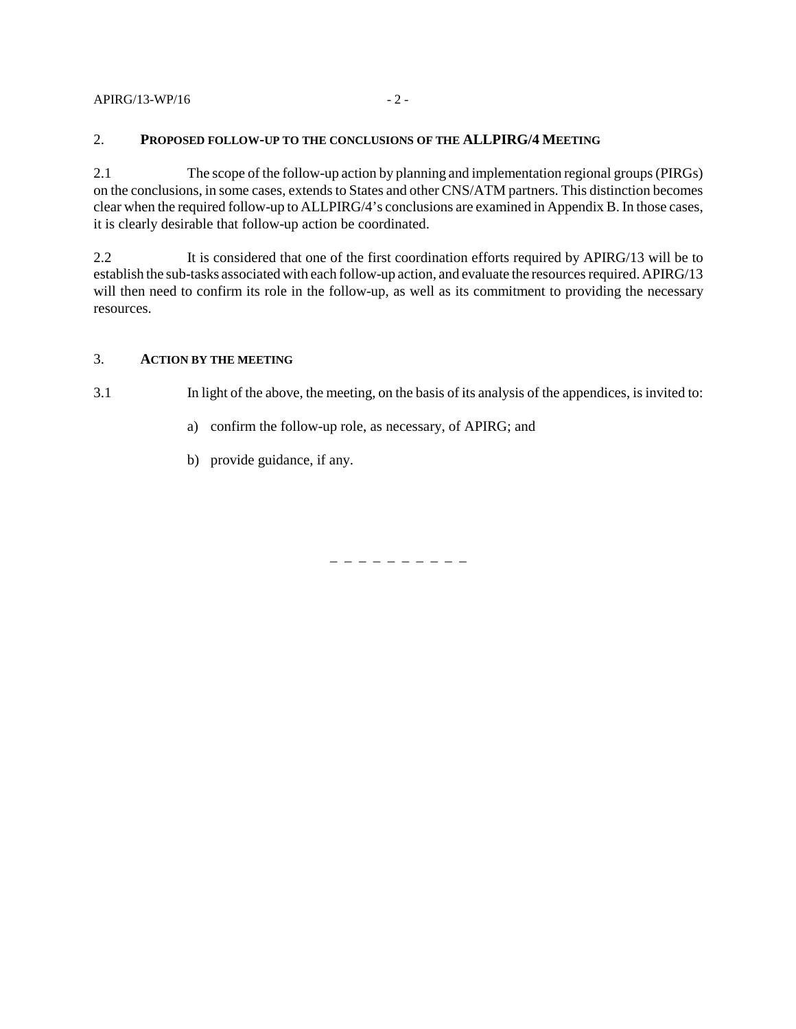#### APIRG/13-WP/16 - 2 -

## 2. **PROPOSED FOLLOW-UP TO THE CONCLUSIONS OF THE ALLPIRG/4 MEETING**

2.1 The scope of the follow-up action by planning and implementation regional groups (PIRGs) on the conclusions, in some cases, extends to States and other CNS/ATM partners. This distinction becomes clear when the required follow-up to ALLPIRG/4's conclusions are examined in Appendix B. In those cases, it is clearly desirable that follow-up action be coordinated.

2.2 It is considered that one of the first coordination efforts required by APIRG/13 will be to establish the sub-tasks associated with each follow-up action, and evaluate the resources required. APIRG/13 will then need to confirm its role in the follow-up, as well as its commitment to providing the necessary resources.

## 3. **ACTION BY THE MEETING**

3.1 In light of the above, the meeting, on the basis of its analysis of the appendices, is invited to:

- a) confirm the follow-up role, as necessary, of APIRG; and
- b) provide guidance, if any.

– – – – – – – – – –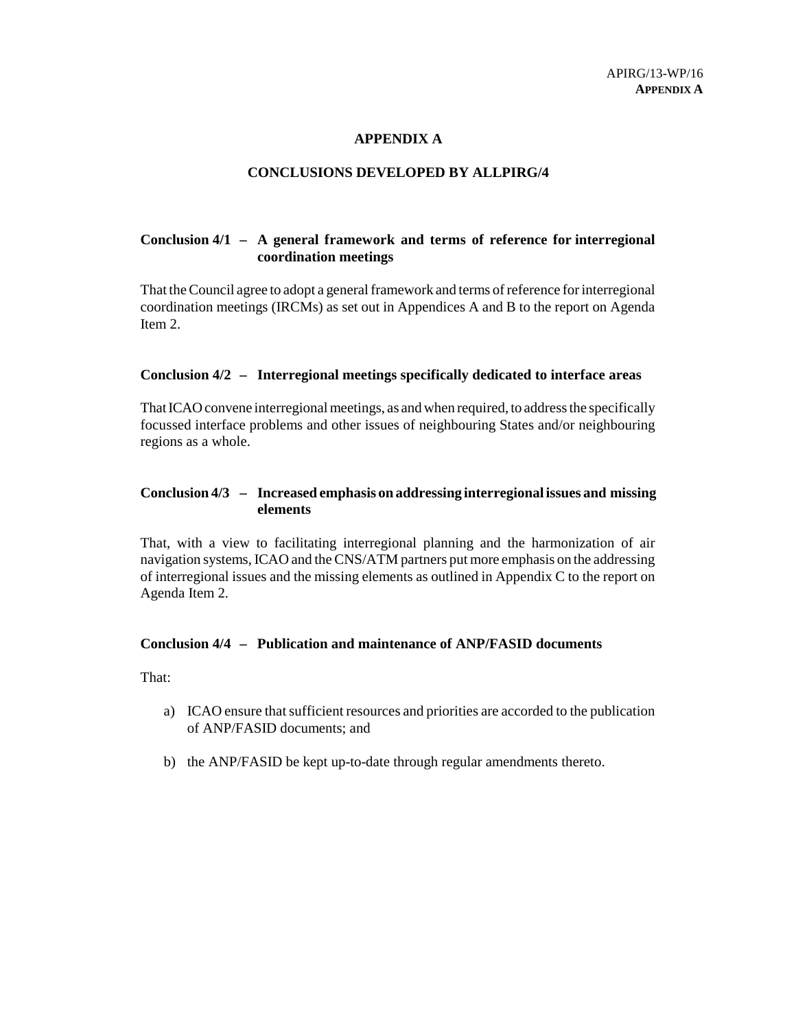## **APPENDIX A**

## **CONCLUSIONS DEVELOPED BY ALLPIRG/4**

# **Conclusion 4/1 – A general framework and terms of reference for interregional coordination meetings**

That the Council agree to adopt a general framework and terms of reference for interregional coordination meetings (IRCMs) as set out in Appendices A and B to the report on Agenda Item 2.

#### **Conclusion 4/2 – Interregional meetings specifically dedicated to interface areas**

That ICAO convene interregional meetings, as and when required, to address the specifically focussed interface problems and other issues of neighbouring States and/or neighbouring regions as a whole.

## **Conclusion 4/3 – Increased emphasis on addressing interregional issues and missing elements**

That, with a view to facilitating interregional planning and the harmonization of air navigation systems, ICAO and the CNS/ATM partners put more emphasis on the addressing of interregional issues and the missing elements as outlined in Appendix C to the report on Agenda Item 2.

#### **Conclusion 4/4 – Publication and maintenance of ANP/FASID documents**

That:

- a) ICAO ensure that sufficient resources and priorities are accorded to the publication of ANP/FASID documents; and
- b) the ANP/FASID be kept up-to-date through regular amendments thereto.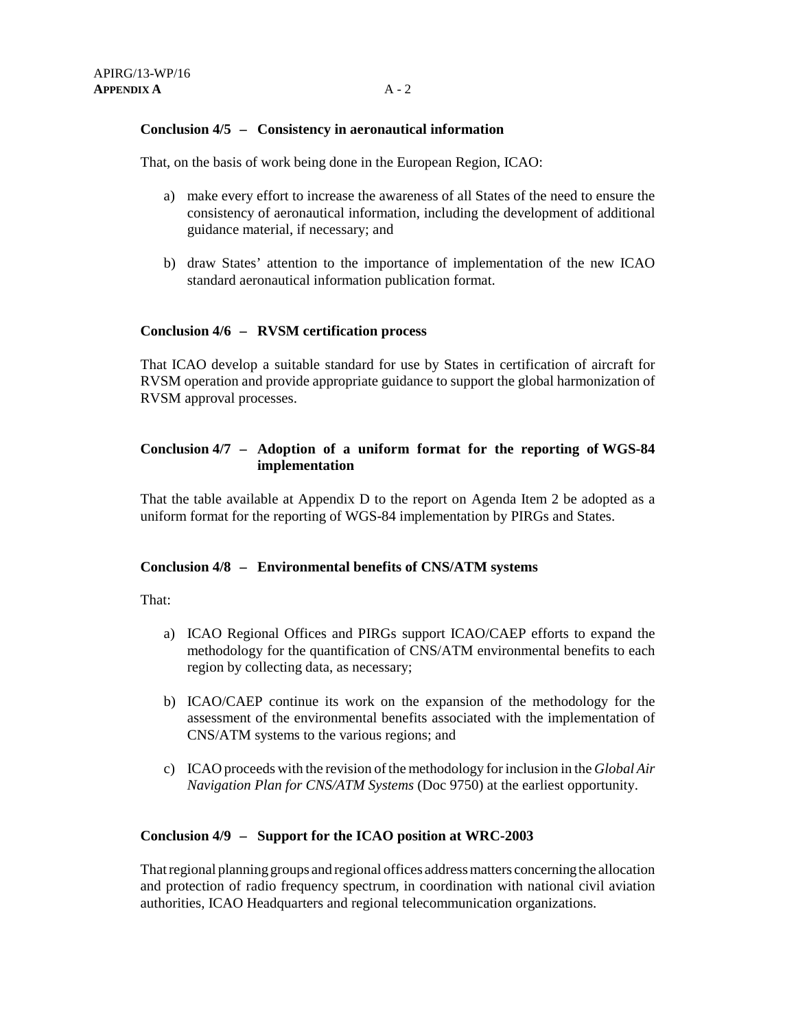## **Conclusion 4/5 – Consistency in aeronautical information**

That, on the basis of work being done in the European Region, ICAO:

- a) make every effort to increase the awareness of all States of the need to ensure the consistency of aeronautical information, including the development of additional guidance material, if necessary; and
- b) draw States' attention to the importance of implementation of the new ICAO standard aeronautical information publication format.

## **Conclusion 4/6 – RVSM certification process**

That ICAO develop a suitable standard for use by States in certification of aircraft for RVSM operation and provide appropriate guidance to support the global harmonization of RVSM approval processes.

## **Conclusion 4/7 – Adoption of a uniform format for the reporting of WGS-84 implementation**

That the table available at Appendix D to the report on Agenda Item 2 be adopted as a uniform format for the reporting of WGS-84 implementation by PIRGs and States.

#### **Conclusion 4/8 – Environmental benefits of CNS/ATM systems**

That:

- a) ICAO Regional Offices and PIRGs support ICAO/CAEP efforts to expand the methodology for the quantification of CNS/ATM environmental benefits to each region by collecting data, as necessary;
- b) ICAO/CAEP continue its work on the expansion of the methodology for the assessment of the environmental benefits associated with the implementation of CNS/ATM systems to the various regions; and
- c) ICAO proceeds with the revision of the methodology for inclusion in the *Global Air Navigation Plan for CNS/ATM Systems* (Doc 9750) at the earliest opportunity.

#### **Conclusion 4/9 – Support for the ICAO position at WRC-2003**

That regional planning groups and regional offices address matters concerning the allocation and protection of radio frequency spectrum, in coordination with national civil aviation authorities, ICAO Headquarters and regional telecommunication organizations.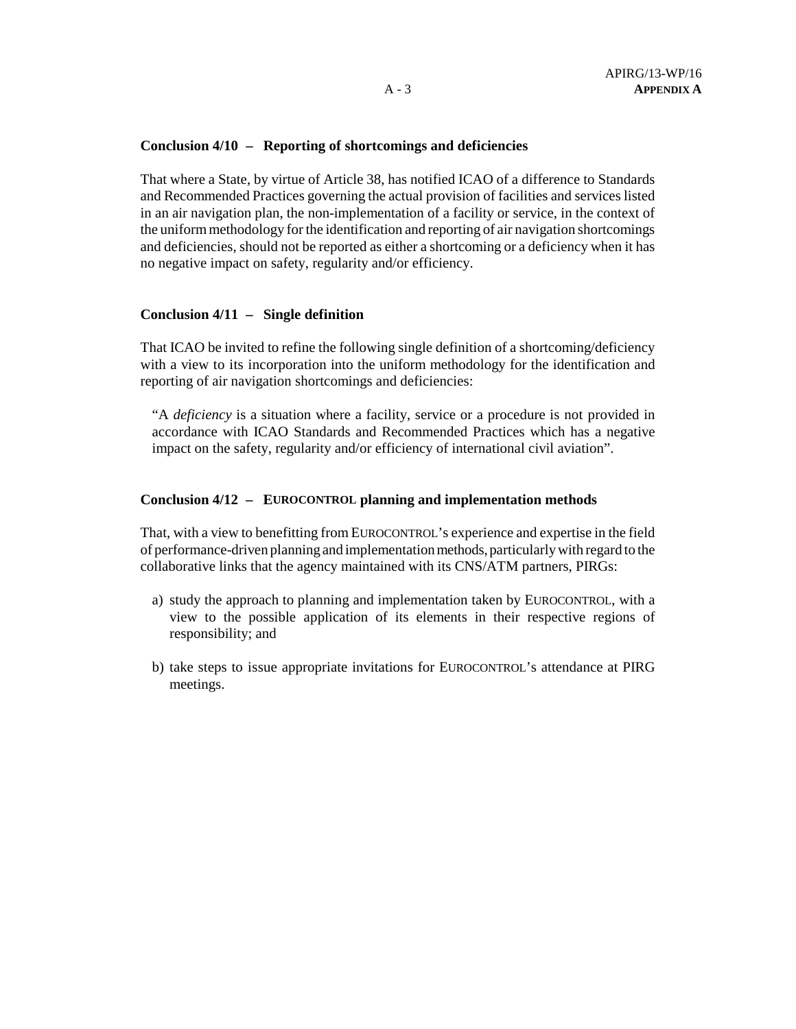## **Conclusion 4/10 – Reporting of shortcomings and deficiencies**

That where a State, by virtue of Article 38, has notified ICAO of a difference to Standards and Recommended Practices governing the actual provision of facilities and services listed in an air navigation plan, the non-implementation of a facility or service, in the context of the uniform methodology for the identification and reporting of air navigation shortcomings and deficiencies, should not be reported as either a shortcoming or a deficiency when it has no negative impact on safety, regularity and/or efficiency.

## **Conclusion 4/11 – Single definition**

That ICAO be invited to refine the following single definition of a shortcoming/deficiency with a view to its incorporation into the uniform methodology for the identification and reporting of air navigation shortcomings and deficiencies:

"A *deficiency* is a situation where a facility, service or a procedure is not provided in accordance with ICAO Standards and Recommended Practices which has a negative impact on the safety, regularity and/or efficiency of international civil aviation".

#### **Conclusion 4/12 – EUROCONTROL planning and implementation methods**

That, with a view to benefitting from EUROCONTROL's experience and expertise in the field of performance-driven planning and implementation methods, particularly with regard to the collaborative links that the agency maintained with its CNS/ATM partners, PIRGs:

- a) study the approach to planning and implementation taken by EUROCONTROL, with a view to the possible application of its elements in their respective regions of responsibility; and
- b) take steps to issue appropriate invitations for EUROCONTROL's attendance at PIRG meetings.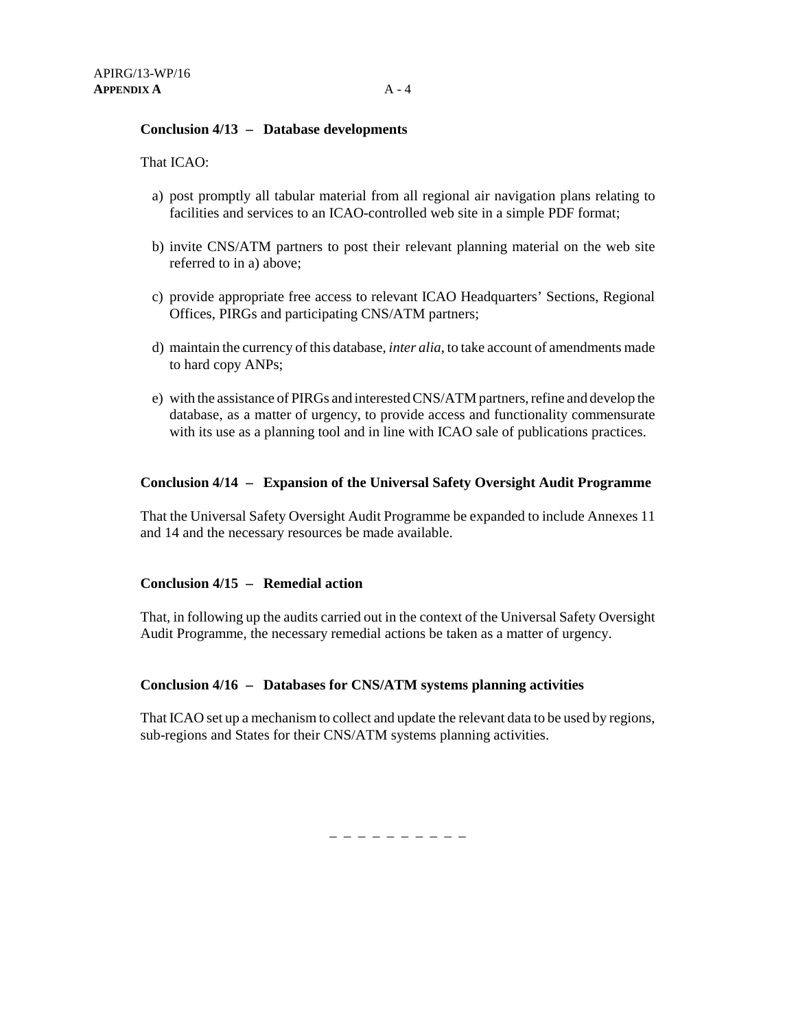#### **Conclusion 4/13 – Database developments**

#### That ICAO:

- a) post promptly all tabular material from all regional air navigation plans relating to facilities and services to an ICAO-controlled web site in a simple PDF format;
- b) invite CNS/ATM partners to post their relevant planning material on the web site referred to in a) above;
- c) provide appropriate free access to relevant ICAO Headquarters' Sections, Regional Offices, PIRGs and participating CNS/ATM partners;
- d) maintain the currency of this database, *inter alia*, to take account of amendments made to hard copy ANPs;
- e) with the assistance of PIRGs and interested CNS/ATM partners, refine and develop the database, as a matter of urgency, to provide access and functionality commensurate with its use as a planning tool and in line with ICAO sale of publications practices.

#### **Conclusion 4/14 – Expansion of the Universal Safety Oversight Audit Programme**

That the Universal Safety Oversight Audit Programme be expanded to include Annexes 11 and 14 and the necessary resources be made available.

#### **Conclusion 4/15 – Remedial action**

That, in following up the audits carried out in the context of the Universal Safety Oversight Audit Programme, the necessary remedial actions be taken as a matter of urgency.

## **Conclusion 4/16 – Databases for CNS/ATM systems planning activities**

That ICAO set up a mechanism to collect and update the relevant data to be used by regions, sub-regions and States for their CNS/ATM systems planning activities.

– – – – – – – – – –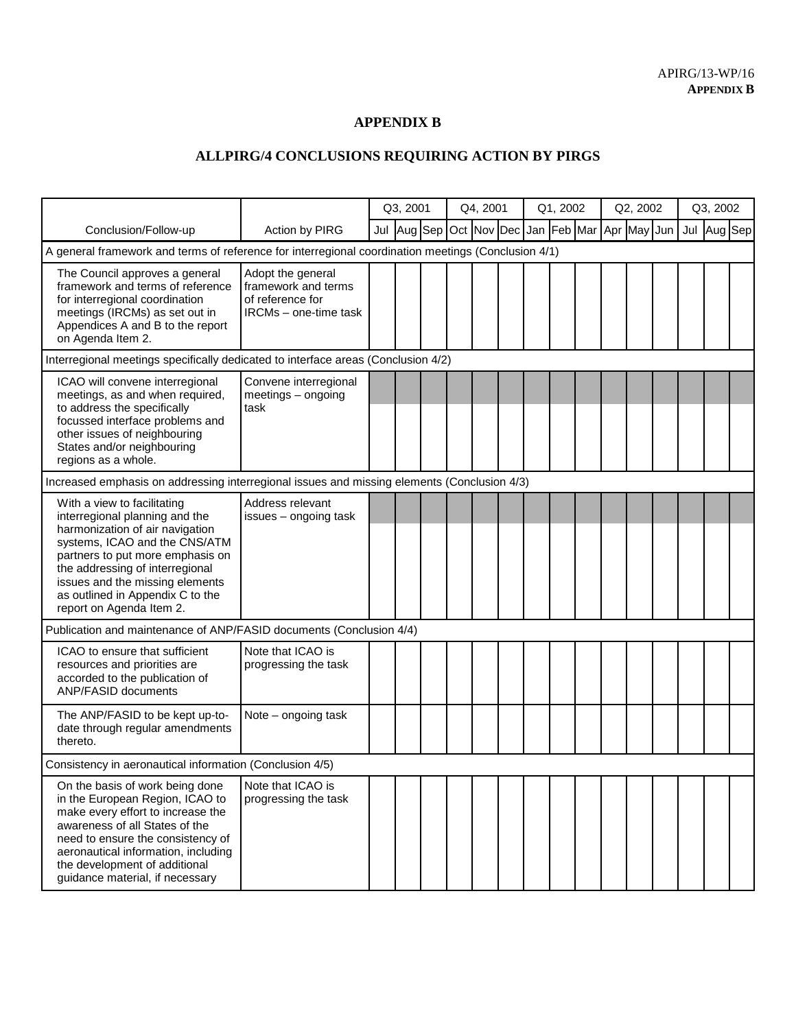# **APPENDIX B**

# **ALLPIRG/4 CONCLUSIONS REQUIRING ACTION BY PIRGS**

|                                                                                                                                                                                                                                                                                                             |                                                                                       | Q3, 2001 |                                     | Q4, 2001 |  | Q1, 2002 |  | Q2, 2002 |  | Q3, 2002 |             |  |  |             |
|-------------------------------------------------------------------------------------------------------------------------------------------------------------------------------------------------------------------------------------------------------------------------------------------------------------|---------------------------------------------------------------------------------------|----------|-------------------------------------|----------|--|----------|--|----------|--|----------|-------------|--|--|-------------|
| Conclusion/Follow-up                                                                                                                                                                                                                                                                                        | Action by PIRG                                                                        |          | Jul Aug Sep Oct Nov Dec Jan Feb Mar |          |  |          |  |          |  |          | Apr May Jun |  |  | Jul Aug Sep |
| A general framework and terms of reference for interregional coordination meetings (Conclusion 4/1)                                                                                                                                                                                                         |                                                                                       |          |                                     |          |  |          |  |          |  |          |             |  |  |             |
| The Council approves a general<br>framework and terms of reference<br>for interregional coordination<br>meetings (IRCMs) as set out in<br>Appendices A and B to the report<br>on Agenda Item 2.                                                                                                             | Adopt the general<br>framework and terms<br>of reference for<br>IRCMs - one-time task |          |                                     |          |  |          |  |          |  |          |             |  |  |             |
| Interregional meetings specifically dedicated to interface areas (Conclusion 4/2)                                                                                                                                                                                                                           |                                                                                       |          |                                     |          |  |          |  |          |  |          |             |  |  |             |
| ICAO will convene interregional<br>meetings, as and when required,<br>to address the specifically<br>focussed interface problems and<br>other issues of neighbouring<br>States and/or neighbouring<br>regions as a whole.                                                                                   | Convene interregional<br>meetings - ongoing<br>task                                   |          |                                     |          |  |          |  |          |  |          |             |  |  |             |
| Increased emphasis on addressing interregional issues and missing elements (Conclusion 4/3)                                                                                                                                                                                                                 |                                                                                       |          |                                     |          |  |          |  |          |  |          |             |  |  |             |
| With a view to facilitating<br>interregional planning and the<br>harmonization of air navigation<br>systems, ICAO and the CNS/ATM<br>partners to put more emphasis on<br>the addressing of interregional<br>issues and the missing elements<br>as outlined in Appendix C to the<br>report on Agenda Item 2. | Address relevant<br>issues - ongoing task                                             |          |                                     |          |  |          |  |          |  |          |             |  |  |             |
| Publication and maintenance of ANP/FASID documents (Conclusion 4/4)                                                                                                                                                                                                                                         |                                                                                       |          |                                     |          |  |          |  |          |  |          |             |  |  |             |
| ICAO to ensure that sufficient<br>resources and priorities are<br>accorded to the publication of<br>ANP/FASID documents                                                                                                                                                                                     | Note that ICAO is<br>progressing the task                                             |          |                                     |          |  |          |  |          |  |          |             |  |  |             |
| The ANP/FASID to be kept up-to-<br>date through regular amendments<br>thereto.                                                                                                                                                                                                                              | Note - ongoing task                                                                   |          |                                     |          |  |          |  |          |  |          |             |  |  |             |
| Consistency in aeronautical information (Conclusion 4/5)                                                                                                                                                                                                                                                    |                                                                                       |          |                                     |          |  |          |  |          |  |          |             |  |  |             |
| On the basis of work being done<br>in the European Region, ICAO to<br>make every effort to increase the<br>awareness of all States of the<br>need to ensure the consistency of<br>aeronautical information, including<br>the development of additional<br>guidance material, if necessary                   | Note that ICAO is<br>progressing the task                                             |          |                                     |          |  |          |  |          |  |          |             |  |  |             |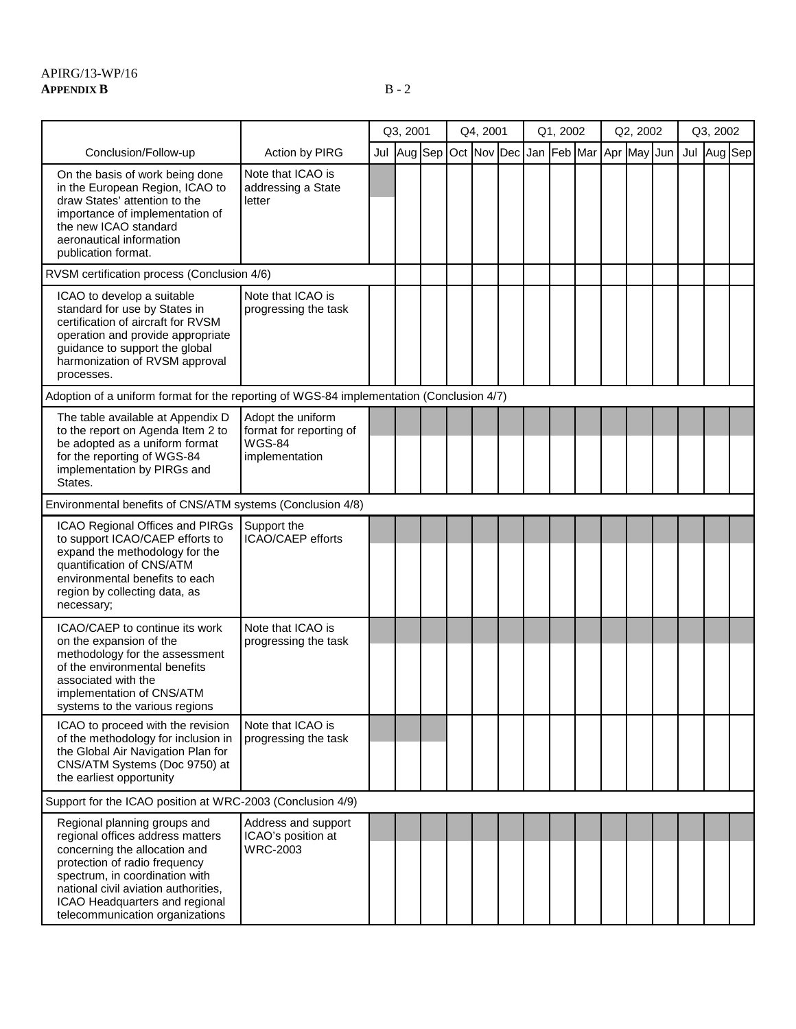# APIRG/13-WP/16 **APPENDIX B** B - 2

|                                                                                                                                                                                                                                                                                   |                                                                                 | Q3, 2001 |                                     |  | Q4, 2001 |  |  | Q1, 2002 |  |  | Q2, 2002    | Q3, 2002 |             |  |
|-----------------------------------------------------------------------------------------------------------------------------------------------------------------------------------------------------------------------------------------------------------------------------------|---------------------------------------------------------------------------------|----------|-------------------------------------|--|----------|--|--|----------|--|--|-------------|----------|-------------|--|
| Conclusion/Follow-up                                                                                                                                                                                                                                                              | Action by PIRG                                                                  |          | Jul Aug Sep Oct Nov Dec Jan Feb Mar |  |          |  |  |          |  |  | Apr May Jun |          | Jul Aug Sep |  |
| On the basis of work being done<br>in the European Region, ICAO to<br>draw States' attention to the<br>importance of implementation of<br>the new ICAO standard<br>aeronautical information<br>publication format.                                                                | Note that ICAO is<br>addressing a State<br>letter                               |          |                                     |  |          |  |  |          |  |  |             |          |             |  |
| RVSM certification process (Conclusion 4/6)                                                                                                                                                                                                                                       |                                                                                 |          |                                     |  |          |  |  |          |  |  |             |          |             |  |
| ICAO to develop a suitable<br>standard for use by States in<br>certification of aircraft for RVSM<br>operation and provide appropriate<br>guidance to support the global<br>harmonization of RVSM approval<br>processes.                                                          | Note that ICAO is<br>progressing the task                                       |          |                                     |  |          |  |  |          |  |  |             |          |             |  |
| Adoption of a uniform format for the reporting of WGS-84 implementation (Conclusion 4/7)                                                                                                                                                                                          |                                                                                 |          |                                     |  |          |  |  |          |  |  |             |          |             |  |
| The table available at Appendix D<br>to the report on Agenda Item 2 to<br>be adopted as a uniform format<br>for the reporting of WGS-84<br>implementation by PIRGs and<br>States.                                                                                                 | Adopt the uniform<br>format for reporting of<br><b>WGS-84</b><br>implementation |          |                                     |  |          |  |  |          |  |  |             |          |             |  |
| Environmental benefits of CNS/ATM systems (Conclusion 4/8)                                                                                                                                                                                                                        |                                                                                 |          |                                     |  |          |  |  |          |  |  |             |          |             |  |
| ICAO Regional Offices and PIRGs<br>to support ICAO/CAEP efforts to<br>expand the methodology for the<br>quantification of CNS/ATM<br>environmental benefits to each<br>region by collecting data, as<br>necessary;                                                                | Support the<br>ICAO/CAEP efforts                                                |          |                                     |  |          |  |  |          |  |  |             |          |             |  |
| ICAO/CAEP to continue its work<br>on the expansion of the<br>methodology for the assessment<br>of the environmental benefits<br>associated with the<br>implementation of CNS/ATM<br>systems to the various regions                                                                | Note that ICAO is<br>progressing the task                                       |          |                                     |  |          |  |  |          |  |  |             |          |             |  |
| ICAO to proceed with the revision<br>of the methodology for inclusion in<br>the Global Air Navigation Plan for<br>CNS/ATM Systems (Doc 9750) at<br>the earliest opportunity                                                                                                       | Note that ICAO is<br>progressing the task                                       |          |                                     |  |          |  |  |          |  |  |             |          |             |  |
| Support for the ICAO position at WRC-2003 (Conclusion 4/9)                                                                                                                                                                                                                        |                                                                                 |          |                                     |  |          |  |  |          |  |  |             |          |             |  |
| Regional planning groups and<br>regional offices address matters<br>concerning the allocation and<br>protection of radio frequency<br>spectrum, in coordination with<br>national civil aviation authorities,<br>ICAO Headquarters and regional<br>telecommunication organizations | Address and support<br>ICAO's position at<br><b>WRC-2003</b>                    |          |                                     |  |          |  |  |          |  |  |             |          |             |  |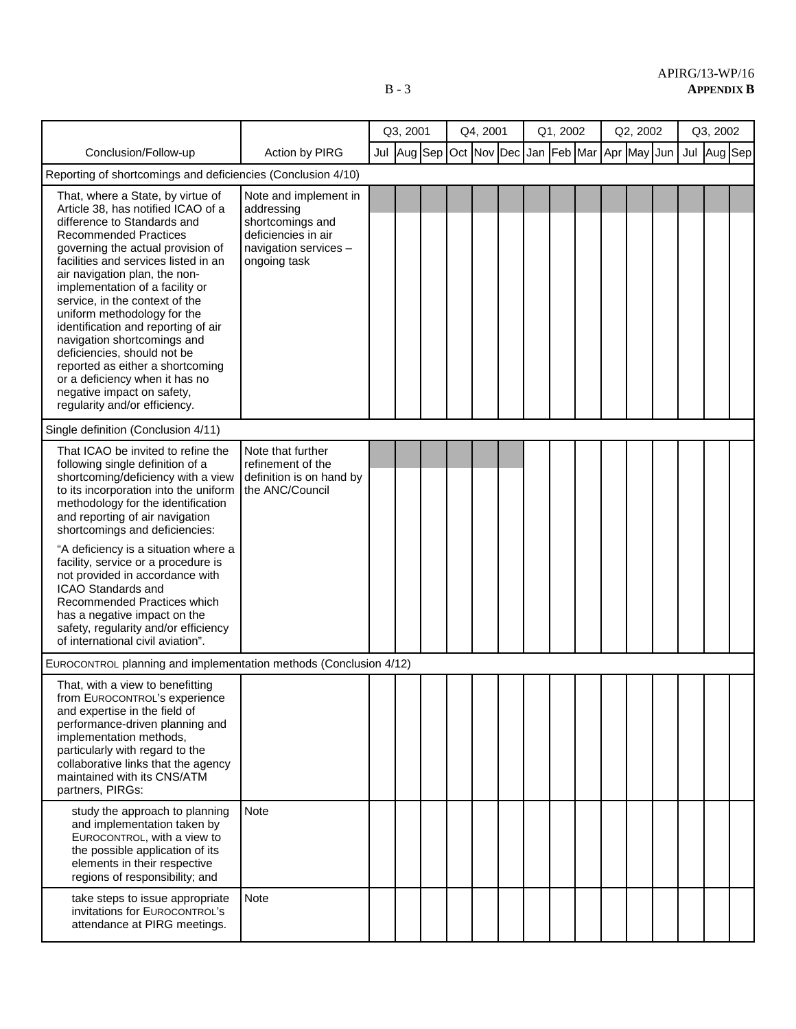| ۰.<br>۰.<br>۰.<br>× |
|---------------------|
|---------------------|

|                                                                                                                                                                                                                                                                                                                                                                                                                                                                                                                                                                                                    |                                                                                                                         | Q3, 2001                                        |  | Q4, 2001 |  | Q1, 2002 |  | Q2, 2002 |  | Q3, 2002    |  |
|----------------------------------------------------------------------------------------------------------------------------------------------------------------------------------------------------------------------------------------------------------------------------------------------------------------------------------------------------------------------------------------------------------------------------------------------------------------------------------------------------------------------------------------------------------------------------------------------------|-------------------------------------------------------------------------------------------------------------------------|-------------------------------------------------|--|----------|--|----------|--|----------|--|-------------|--|
| Conclusion/Follow-up                                                                                                                                                                                                                                                                                                                                                                                                                                                                                                                                                                               | Action by PIRG                                                                                                          | Jul Aug Sep Oct Nov Dec Jan Feb Mar Apr May Jun |  |          |  |          |  |          |  | Jul Aug Sep |  |
| Reporting of shortcomings and deficiencies (Conclusion 4/10)                                                                                                                                                                                                                                                                                                                                                                                                                                                                                                                                       |                                                                                                                         |                                                 |  |          |  |          |  |          |  |             |  |
| That, where a State, by virtue of<br>Article 38, has notified ICAO of a<br>difference to Standards and<br><b>Recommended Practices</b><br>governing the actual provision of<br>facilities and services listed in an<br>air navigation plan, the non-<br>implementation of a facility or<br>service, in the context of the<br>uniform methodology for the<br>identification and reporting of air<br>navigation shortcomings and<br>deficiencies, should not be<br>reported as either a shortcoming<br>or a deficiency when it has no<br>negative impact on safety,<br>regularity and/or efficiency. | Note and implement in<br>addressing<br>shortcomings and<br>deficiencies in air<br>navigation services -<br>ongoing task |                                                 |  |          |  |          |  |          |  |             |  |
| Single definition (Conclusion 4/11)                                                                                                                                                                                                                                                                                                                                                                                                                                                                                                                                                                |                                                                                                                         |                                                 |  |          |  |          |  |          |  |             |  |
| That ICAO be invited to refine the<br>following single definition of a<br>shortcoming/deficiency with a view<br>to its incorporation into the uniform<br>methodology for the identification<br>and reporting of air navigation<br>shortcomings and deficiencies:<br>"A deficiency is a situation where a<br>facility, service or a procedure is<br>not provided in accordance with<br><b>ICAO Standards and</b><br>Recommended Practices which<br>has a negative impact on the<br>safety, regularity and/or efficiency<br>of international civil aviation".                                        | Note that further<br>refinement of the<br>definition is on hand by<br>the ANC/Council                                   |                                                 |  |          |  |          |  |          |  |             |  |
| EUROCONTROL planning and implementation methods (Conclusion 4/12)                                                                                                                                                                                                                                                                                                                                                                                                                                                                                                                                  |                                                                                                                         |                                                 |  |          |  |          |  |          |  |             |  |
| That, with a view to benefitting<br>from EUROCONTROL's experience<br>and expertise in the field of<br>performance-driven planning and<br>implementation methods,<br>particularly with regard to the<br>collaborative links that the agency<br>maintained with its CNS/ATM<br>partners, PIRGs:                                                                                                                                                                                                                                                                                                      |                                                                                                                         |                                                 |  |          |  |          |  |          |  |             |  |
| study the approach to planning<br>and implementation taken by<br>EUROCONTROL, with a view to<br>the possible application of its<br>elements in their respective<br>regions of responsibility; and                                                                                                                                                                                                                                                                                                                                                                                                  | Note                                                                                                                    |                                                 |  |          |  |          |  |          |  |             |  |
| take steps to issue appropriate<br>invitations for EUROCONTROL's<br>attendance at PIRG meetings.                                                                                                                                                                                                                                                                                                                                                                                                                                                                                                   | Note                                                                                                                    |                                                 |  |          |  |          |  |          |  |             |  |